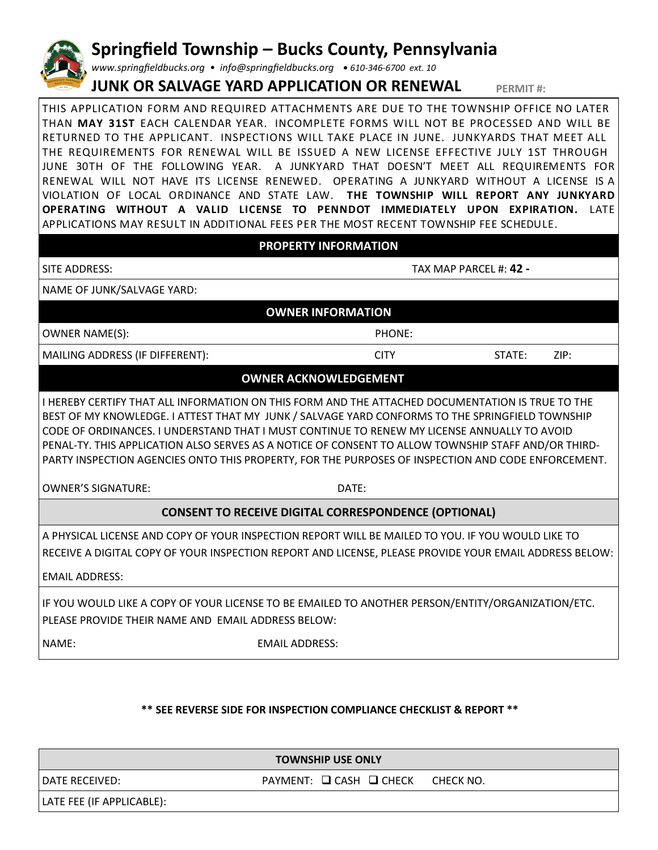## **Springfield Township – Bucks County, Pennsylvania**

*www.springfieldbucks.org • info@springfieldbucks.org • <sup>610</sup>-346-6700 ext. 10* 

## **JUNK OR SALVAGE YARD APPLICATION OR RENEWAL PERMIT #:**

THIS APPLICATION FORM AND REQUIRED ATTACHMENTS ARE DUE TO THE TOWNSHIP OFFICE NO LATER THAN **MAY 31ST** EACH CALENDAR YEAR. INCOMPLETE FORMS WILL NOT BE PROCESSED AND WILL BE RETURNED TO THE APPLICANT. INSPECTIONS WILL TAKE PLACE IN JUNE. JUNKYARDS THAT MEET ALL THE REQUIREMENTS FOR RENEWAL WILL BE ISSUED A NEW LICENSE EFFECTIVE JULY 1ST THROUGH JUNE 30TH OF THE FOLLOWING YEAR. A JUNKYARD THAT DOESN'T MEET ALL REQUIREMENTS FOR RENEWAL WILL NOT HAVE ITS LICENSE RENEWED. OPERATING A JUNKYARD WITHOUT A LICENSE IS A VIOLATION OF LOCAL ORDINANCE AND STATE LAW. **THE TOWNSHIP WILL REPORT ANY JUNKYARD OPERATING WITHOUT A VALID LICENSE TO PENNDOT IMMEDIATELY UPON EXPIRATION.** LATE APPLICATIONS MAY RESULT IN ADDITIONAL FEES PER THE MOST RECENT TOWNSHIP FEE SCHEDULE.

| <b>PROPERTY INFORMATION</b>                                                                                                                                                                                                                                                                                                                                                                                                                                                                                                                           |                                                                                                                                                                                                             |                        |      |  |  |  |
|-------------------------------------------------------------------------------------------------------------------------------------------------------------------------------------------------------------------------------------------------------------------------------------------------------------------------------------------------------------------------------------------------------------------------------------------------------------------------------------------------------------------------------------------------------|-------------------------------------------------------------------------------------------------------------------------------------------------------------------------------------------------------------|------------------------|------|--|--|--|
| SITE ADDRESS:                                                                                                                                                                                                                                                                                                                                                                                                                                                                                                                                         |                                                                                                                                                                                                             | TAX MAP PARCEL #: 42 - |      |  |  |  |
| NAME OF JUNK/SALVAGE YARD:                                                                                                                                                                                                                                                                                                                                                                                                                                                                                                                            |                                                                                                                                                                                                             |                        |      |  |  |  |
| <b>OWNER INFORMATION</b>                                                                                                                                                                                                                                                                                                                                                                                                                                                                                                                              |                                                                                                                                                                                                             |                        |      |  |  |  |
| <b>OWNER NAME(S):</b>                                                                                                                                                                                                                                                                                                                                                                                                                                                                                                                                 | PHONE:                                                                                                                                                                                                      |                        |      |  |  |  |
| MAILING ADDRESS (IF DIFFERENT):                                                                                                                                                                                                                                                                                                                                                                                                                                                                                                                       | <b>CITY</b>                                                                                                                                                                                                 | STATE:                 | ZIP: |  |  |  |
|                                                                                                                                                                                                                                                                                                                                                                                                                                                                                                                                                       | <b>OWNER ACKNOWLEDGEMENT</b>                                                                                                                                                                                |                        |      |  |  |  |
| I HEREBY CERTIFY THAT ALL INFORMATION ON THIS FORM AND THE ATTACHED DOCUMENTATION IS TRUE TO THE<br>BEST OF MY KNOWLEDGE. I ATTEST THAT MY JUNK / SALVAGE YARD CONFORMS TO THE SPRINGFIELD TOWNSHIP<br>CODE OF ORDINANCES. I UNDERSTAND THAT I MUST CONTINUE TO RENEW MY LICENSE ANNUALLY TO AVOID<br>PENAL-TY. THIS APPLICATION ALSO SERVES AS A NOTICE OF CONSENT TO ALLOW TOWNSHIP STAFF AND/OR THIRD-<br>PARTY INSPECTION AGENCIES ONTO THIS PROPERTY, FOR THE PURPOSES OF INSPECTION AND CODE ENFORCEMENT.<br><b>OWNER'S SIGNATURE:</b><br>DATE: |                                                                                                                                                                                                             |                        |      |  |  |  |
| <b>CONSENT TO RECEIVE DIGITAL CORRESPONDENCE (OPTIONAL)</b>                                                                                                                                                                                                                                                                                                                                                                                                                                                                                           |                                                                                                                                                                                                             |                        |      |  |  |  |
| <b>EMAIL ADDRESS:</b>                                                                                                                                                                                                                                                                                                                                                                                                                                                                                                                                 | A PHYSICAL LICENSE AND COPY OF YOUR INSPECTION REPORT WILL BE MAILED TO YOU. IF YOU WOULD LIKE TO<br>RECEIVE A DIGITAL COPY OF YOUR INSPECTION REPORT AND LICENSE, PLEASE PROVIDE YOUR EMAIL ADDRESS BELOW: |                        |      |  |  |  |
| PLEASE PROVIDE THEIR NAME AND EMAIL ADDRESS BELOW:                                                                                                                                                                                                                                                                                                                                                                                                                                                                                                    | IF YOU WOULD LIKE A COPY OF YOUR LICENSE TO BE EMAILED TO ANOTHER PERSON/ENTITY/ORGANIZATION/ETC.                                                                                                           |                        |      |  |  |  |
| NAME:                                                                                                                                                                                                                                                                                                                                                                                                                                                                                                                                                 | <b>EMAIL ADDRESS:</b>                                                                                                                                                                                       |                        |      |  |  |  |

## **\*\* SEE REVERSE SIDE FOR INSPECTION COMPLIANCE CHECKLIST & REPORT \*\***

**TOWNSHIP USE ONLY**

DATE RECEIVED: THE RECEIVED: PAYMENT: Q CASH Q CHECK CHECK NO.

LATE FEE (IF APPLICABLE):